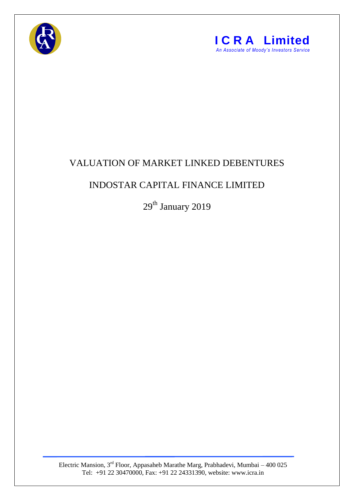



## VALUATION OF MARKET LINKED DEBENTURES

## INDOSTAR CAPITAL FINANCE LIMITED

29<sup>th</sup> January 2019

Electric Mansion,  $3<sup>rd</sup>$  Floor, Appasaheb Marathe Marg, Prabhadevi, Mumbai – 400 025 Tel: +91 22 30470000, Fax: +91 22 24331390, website: www.icra.in